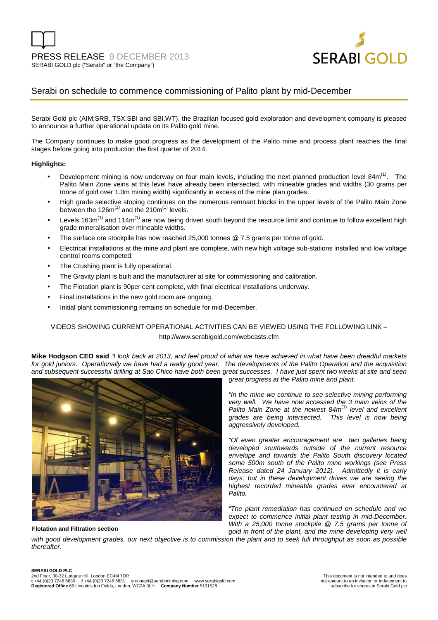

# Serabi on schedule to commence commissioning of Palito plant by mid-December

Serabi Gold plc (AIM:SRB, TSX:SBI and SBI.WT), the Brazilian focused gold exploration and development company is pleased to announce a further operational update on its Palito gold mine.

The Company continues to make good progress as the development of the Palito mine and process plant reaches the final stages before going into production the first quarter of 2014.

## **Highlights:**

- Development mining is now underway on four main levels, including the next planned production level 84m<sup>(1)</sup>. The Palito Main Zone veins at this level have already been intersected, with mineable grades and widths (30 grams per tonne of gold over 1.0m mining width) significantly in excess of the mine plan grades.
- High grade selective stoping continues on the numerous remnant blocks in the upper levels of the Palito Main Zone between the 126 $m^{(1)}$  and the 210 $m^{(1)}$  levels.
- Levels 163 $m^{(1)}$  and 114 $m^{(1)}$  are now being driven south beyond the resource limit and continue to follow excellent high grade mineralisation over mineable widths.
- The surface ore stockpile has now reached 25,000 tonnes @ 7.5 grams per tonne of gold.
- Electrical installations at the mine and plant are complete, with new high voltage sub-stations installed and low voltage control rooms competed.
- The Crushing plant is fully operational.
- The Gravity plant is built and the manufacturer at site for commissioning and calibration.
- The Flotation plant is 90per cent complete, with final electrical installations underway.
- Final installations in the new gold room are ongoing.
- Initial plant commissioning remains on schedule for mid-December.

# VIDEOS SHOWING CURRENT OPERATIONAL ACTIVITIES CAN BE VIEWED USING THE FOLLOWING LINK – http://www.serabigold.com/webcasts.cfm

**Mike Hodgson CEO said** "I look back at 2013, and feel proud of what we have achieved in what have been dreadful markets for gold juniors. Operationally we have had a really good year. The developments of the Palito Operation and the acquisition and subsequent successful drilling at Sao Chico have both been great successes. I have just spent two weeks at site and seen



## **Flotation and Filtration section**

great progress at the Palito mine and plant.

"In the mine we continue to see selective mining performing very well. We have now accessed the 3 main veins of the Palito Main Zone at the newest  $84m^{(1)}$  level and excellent grades are being intersected. This level is now being aggressively developed.

"Of even greater encouragement are two galleries being developed southwards outside of the current resource envelope and towards the Palito South discovery located some 500m south of the Palito mine workings (see Press Release dated 24 January 2012). Admittedly it is early days, but in these development drives we are seeing the highest recorded mineable grades ever encountered at Palito.

"The plant remediation has continued on schedule and we expect to commence initial plant testing in mid-December. With a 25,000 tonne stockpile @ 7.5 grams per tonne of gold in front of the plant, and the mine developing very well

with good development grades, our next objective is to commission the plant and to seek full throughput as soon as possible **thereafter**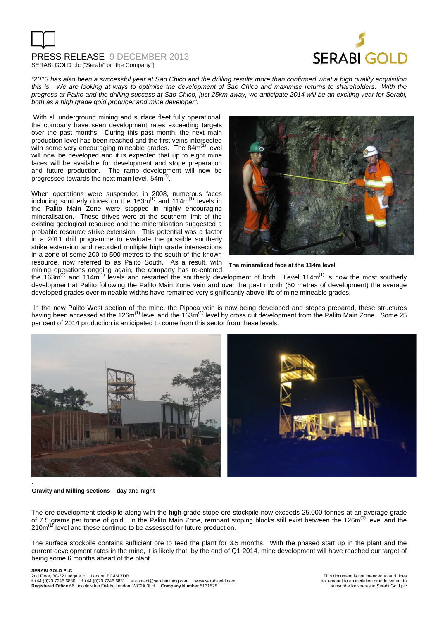



"2013 has also been a successful year at Sao Chico and the drilling results more than confirmed what a high quality acquisition this is. We are looking at ways to optimise the development of Sao Chico and maximise returns to shareholders. With the progress at Palito and the drilling success at Sao Chico, just 25km away, we anticipate 2014 will be an exciting year for Serabi, both as a high grade gold producer and mine developer".

With all underground mining and surface fleet fully operational, the company have seen development rates exceeding targets over the past months. During this past month, the next main production level has been reached and the first veins intersected with some very encouraging mineable grades. The 84m<sup>(1)</sup> level will now be developed and it is expected that up to eight mine faces will be available for development and stope preparation and future production. The ramp development will now be progressed towards the next main level,  $54m<sup>7</sup>$ .

When operations were suspended in 2008, numerous faces including southerly drives on the 163m<sup>(1)</sup> and 114m<sup>(1)</sup> levels in the Palito Main Zone were stopped in highly encouraging mineralisation. These drives were at the southern limit of the existing geological resource and the mineralisation suggested a probable resource strike extension. This potential was a factor in a 2011 drill programme to evaluate the possible southerly strike extension and recorded multiple high grade intersections in a zone of some 200 to 500 metres to the south of the known resource, now referred to as Palito South. As a result, with mining operations ongoing again, the company has re-entered



**The mineralized face at the 114m level**

the 163 $\text{m}^{(1)}$  and 114 $\text{m}^{(1)}$  levels and restarted the southerly development of both. Level 114 $\text{m}^{(1)}$  is now the most southerly development at Palito following the Palito Main Zone vein and over the past month (50 metres of development) the average developed grades over mineable widths have remained very significantly above life of mine mineable grades.

 In the new Palito West section of the mine, the Pipoca vein is now being developed and stopes prepared, these structures having been accessed at the 126m<sup>(1)</sup> level and the 163m<sup>(1)</sup> level by cross cut development from the Palito Main Zone. Some 25 per cent of 2014 production is anticipated to come from this sector from these levels.



## **Gravity and Milling sections – day and night**

The ore development stockpile along with the high grade stope ore stockpile now exceeds 25,000 tonnes at an average grade of 7.5 grams per tonne of gold. In the Palito Main Zone, remnant stoping blocks still exist between the 126m<sup>(1)</sup> level and the  $210m^{(1)}$  level and these continue to be assessed for future production.

The surface stockpile contains sufficient ore to feed the plant for 3.5 months. With the phased start up in the plant and the current development rates in the mine, it is likely that, by the end of Q1 2014, mine development will have reached our target of being some 6 months ahead of the plant.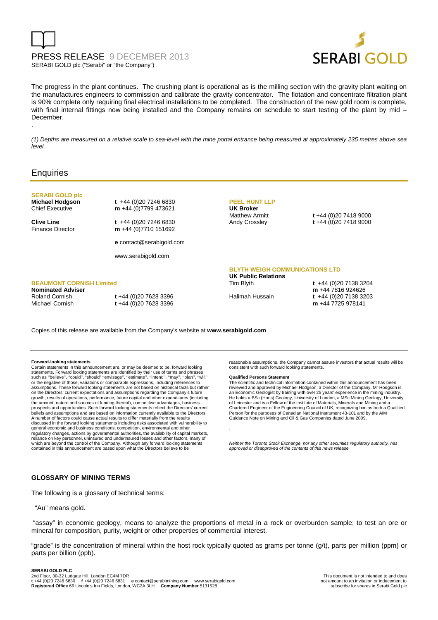



The progress in the plant continues. The crushing plant is operational as is the milling section with the gravity plant waiting on the manufactures engineers to commission and calibrate the gravity concentrator. The flotation and concentrate filtration plant is 90% complete only requiring final electrical installations to be completed. The construction of the new gold room is complete, with final internal fittings now being installed and the Company remains on schedule to start testing of the plant by mid – December.

(1) Depths are measured on a relative scale to sea-level with the mine portal entrance being measured at approximately 235 metres above sea level.

# **Enquiries**

.

## **SERABI GOLD plc Michael Hodgson t** +44 (0)20 7246 6830

Chief Executive **m** +44 (0)7799 473621 **Clive Line** t +44 (0)20 7246 6830<br>Finance Director **m** +44 (0)7710 151692 m +44 (0)7710 151692

**e** contact@serabigold.com

www.serabigold.com

#### **BEAUMONT CORNISH Limited**

**Nominated Adviser** 

Roland Cornish **t** +44 (0)20 7628 3396 Michael Cornish **t** +44 (0)20 7628 3396

# **PEEL HUNT LLP UK Broker**

Matthew Armitt **t** +44 (0)20 7418 9000 Andy Crossley **t** +44 (0) 20 7418 9000

# **BLYTH WEIGH COMMUNICATIONS LTD**

**UK Public Relations** 

Tim Blyth **t** +44 (0)20 7138 3204 **m** +44 7816 924626 Halimah Hussain **t** +44 (0)20 7138 3203 **m** +44 7725 978141

Copies of this release are available from the Company's website at **www.serabigold.com** 

#### **Forward-looking statements**

Certain statements in this announcement are, or may be deemed to be, forward looking<br>statements. Forward looking statements are identified by their use of terms and phrases<br>such as "believe", "could", "should" "envisage", assumptions. These forward looking statements are not based on historical facts but rather on the Directors' current expectations and assumptions regarding the Company's future growth, results of operations, performance, future capital and other expenditures (including the amount, nature and sources of funding thereof), competitive advantages, business prospects and opportunities. Such forward looking statements reflect the Directors' current<br>beliefs and assumptions and are based on information currently available to the Directors.<br>A number of factors could cause actual discussed in the forward looking statements including risks associated with vulnerability to general economic and business conditions, competition, environmental and other regulatory changes, actions by governmental authorities, the availability of capital markets, reliance on key personnel, uninsured and underinsured losses and other factors, many of which are beyond the control of the Company. Although any forward looking statements contained in this announcement are based upon what the Directors believe to be

reasonable assumptions, the Company cannot assure investors that actual results will be consistent with such forward looking statements.

#### **Qualified Persons Statement**

The scientific and technical information contained within this announcement has been reviewed and approved by Michael Hodgson, a Director of the Company. Mr Hodgson is<br>an Economic Geologist by training with over 25 years' experience in the mining industry.<br>He holds a BSc (Hons) Geology, University of Lond Chartered Engineer of the Engineering Council of UK, recognizing him as both a Qualified<br>Person for the purposes of Canadian National Instrument 43-101 and by the AIM<br>Guidance Note on Mining and Oil & Gas Companies dated J

Neither the Toronto Stock Exchange, nor any other securities regulatory authority, has approved or disapproved of the contents of this news release.

### **GLOSSARY OF MINING TERMS**

The following is a glossary of technical terms:

"Au" means gold.

 "assay" in economic geology, means to analyze the proportions of metal in a rock or overburden sample; to test an ore or mineral for composition, purity, weight or other properties of commercial interest.

.

"grade" is the concentration of mineral within the host rock typically quoted as grams per tonne (g/t), parts per million (ppm) or parts per billion (ppb).